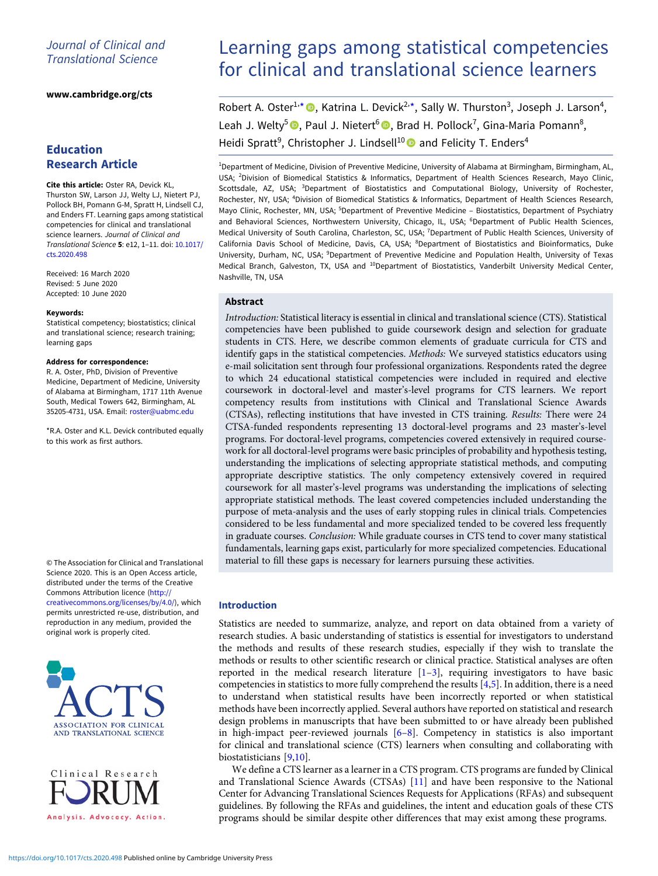# Journal of Clinical and Translational Science

#### [www.cambridge.org/cts](https://www.cambridge.org/cts)

# Education Research Article

Cite this article: Oster RA, Devick KL, Thurston SW, Larson JJ, Welty LJ, Nietert PJ, Pollock BH, Pomann G-M, Spratt H, Lindsell CJ, and Enders FT. Learning gaps among statistical competencies for clinical and translational science learners. Journal of Clinical and Translational Science 5: e12, 1–11. doi: [10.1017/](https://doi.org/10.1017/cts.2020.498) [cts.2020.498](https://doi.org/10.1017/cts.2020.498)

Received: 16 March 2020 Revised: 5 June 2020 Accepted: 10 June 2020

#### Keywords:

Statistical competency; biostatistics; clinical and translational science; research training; learning gaps

#### Address for correspondence:

R. A. Oster, PhD, Division of Preventive Medicine, Department of Medicine, University of Alabama at Birmingham, 1717 11th Avenue South, Medical Towers 642, Birmingham, AL 35205-4731, USA. Email: [roster@uabmc.edu](mailto:roster@uabmc.edu)

\*R.A. Oster and K.L. Devick contributed equally to this work as first authors.

© The Association for Clinical and Translational Science 2020. This is an Open Access article, distributed under the terms of the Creative Commons Attribution licence ([http://](http://creativecommons.org/licenses/by/4.0/) [creativecommons.org/licenses/by/4.0/\)](http://creativecommons.org/licenses/by/4.0/), which permits unrestricted re-use, distribution, and reproduction in any medium, provided the original work is properly cited.





# Learning gaps among statistical competencies for clinical and translational science learners

Robert A. Oster<sup>1,\*</sup>  $\bullet$ , Katrina L. Devick<sup>2,\*</sup>, Sally W. Thurston<sup>3</sup>, Joseph J. Larson<sup>4</sup>, Leah J. Welty<sup>5</sup> <sup>®</sup>, Paul J. Nietert<sup>6</sup> <sup>®</sup>, Brad H. Pollock<sup>7</sup>, Gina-Maria Pomann<sup>8</sup>, Heidi Spratt<sup>9</sup>, Christopher J. Lindsell<sup>10</sup> and Felicity T. Enders<sup>4</sup>

<sup>1</sup>Department of Medicine, Division of Preventive Medicine, University of Alabama at Birmingham, Birmingham, AL, USA; <sup>2</sup>Division of Biomedical Statistics & Informatics, Department of Health Sciences Research, Mayo Clinic, Scottsdale, AZ, USA; <sup>3</sup>Department of Biostatistics and Computational Biology, University of Rochester, Rochester, NY, USA; <sup>4</sup> Division of Biomedical Statistics & Informatics, Department of Health Sciences Research, Mayo Clinic, Rochester, MN, USA; <sup>5</sup>Department of Preventive Medicine - Biostatistics, Department of Psychiatry and Behavioral Sciences, Northwestern University, Chicago, IL, USA; <sup>6</sup>Department of Public Health Sciences, Medical University of South Carolina, Charleston, SC, USA; <sup>7</sup>Department of Public Health Sciences, University of California Davis School of Medicine, Davis, CA, USA; <sup>8</sup>Department of Biostatistics and Bioinformatics, Duke University, Durham, NC, USA; <sup>9</sup>Department of Preventive Medicine and Population Health, University of Texas Medical Branch, Galveston, TX, USA and <sup>10</sup>Department of Biostatistics, Vanderbilt University Medical Center, Nashville, TN, USA

## Abstract

Introduction: Statistical literacy is essential in clinical and translational science (CTS). Statistical competencies have been published to guide coursework design and selection for graduate students in CTS. Here, we describe common elements of graduate curricula for CTS and identify gaps in the statistical competencies. Methods: We surveyed statistics educators using e-mail solicitation sent through four professional organizations. Respondents rated the degree to which 24 educational statistical competencies were included in required and elective coursework in doctoral-level and master's-level programs for CTS learners. We report competency results from institutions with Clinical and Translational Science Awards (CTSAs), reflecting institutions that have invested in CTS training. Results: There were 24 CTSA-funded respondents representing 13 doctoral-level programs and 23 master's-level programs. For doctoral-level programs, competencies covered extensively in required coursework for all doctoral-level programs were basic principles of probability and hypothesis testing, understanding the implications of selecting appropriate statistical methods, and computing appropriate descriptive statistics. The only competency extensively covered in required coursework for all master's-level programs was understanding the implications of selecting appropriate statistical methods. The least covered competencies included understanding the purpose of meta-analysis and the uses of early stopping rules in clinical trials. Competencies considered to be less fundamental and more specialized tended to be covered less frequently in graduate courses. Conclusion: While graduate courses in CTS tend to cover many statistical fundamentals, learning gaps exist, particularly for more specialized competencies. Educational material to fill these gaps is necessary for learners pursuing these activities.

## Introduction

Statistics are needed to summarize, analyze, and report on data obtained from a variety of research studies. A basic understanding of statistics is essential for investigators to understand the methods and results of these research studies, especially if they wish to translate the methods or results to other scientific research or clinical practice. Statistical analyses are often reported in the medical research literature  $[1-3]$  $[1-3]$  $[1-3]$  $[1-3]$ , requiring investigators to have basic competencies in statistics to more fully comprehend the results [[4,5\]](#page-9-0). In addition, there is a need to understand when statistical results have been incorrectly reported or when statistical methods have been incorrectly applied. Several authors have reported on statistical and research design problems in manuscripts that have been submitted to or have already been published in high-impact peer-reviewed journals  $[6-8]$  $[6-8]$  $[6-8]$  $[6-8]$ . Competency in statistics is also important for clinical and translational science (CTS) learners when consulting and collaborating with biostatisticians [\[9,10\]](#page-9-0).

We define a CTS learner as a learner in a CTS program. CTS programs are funded by Clinical and Translational Science Awards (CTSAs) [[11\]](#page-10-0) and have been responsive to the National Center for Advancing Translational Sciences Requests for Applications (RFAs) and subsequent guidelines. By following the RFAs and guidelines, the intent and education goals of these CTS programs should be similar despite other differences that may exist among these programs.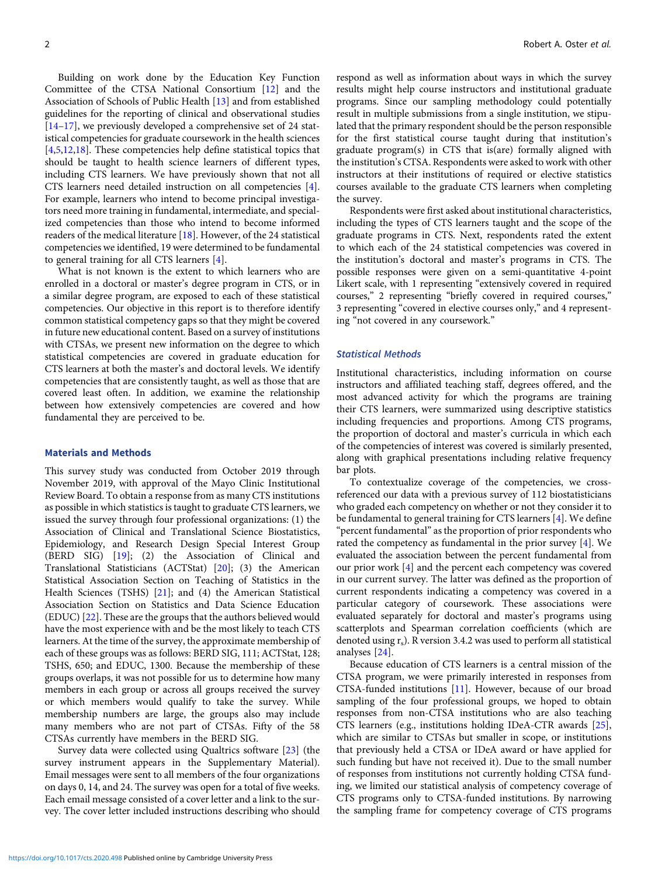Building on work done by the Education Key Function Committee of the CTSA National Consortium [\[12](#page-10-0)] and the Association of Schools of Public Health [\[13\]](#page-10-0) and from established guidelines for the reporting of clinical and observational studies [[14](#page-10-0)–[17\]](#page-10-0), we previously developed a comprehensive set of 24 statistical competencies for graduate coursework in the health sciences [[4,5](#page-9-0)[,12,18](#page-10-0)]. These competencies help define statistical topics that should be taught to health science learners of different types, including CTS learners. We have previously shown that not all CTS learners need detailed instruction on all competencies [[4](#page-9-0)]. For example, learners who intend to become principal investigators need more training in fundamental, intermediate, and specialized competencies than those who intend to become informed readers of the medical literature [[18](#page-10-0)]. However, of the 24 statistical competencies we identified, 19 were determined to be fundamental to general training for all CTS learners [\[4](#page-9-0)].

What is not known is the extent to which learners who are enrolled in a doctoral or master's degree program in CTS, or in a similar degree program, are exposed to each of these statistical competencies. Our objective in this report is to therefore identify common statistical competency gaps so that they might be covered in future new educational content. Based on a survey of institutions with CTSAs, we present new information on the degree to which statistical competencies are covered in graduate education for CTS learners at both the master's and doctoral levels. We identify competencies that are consistently taught, as well as those that are covered least often. In addition, we examine the relationship between how extensively competencies are covered and how fundamental they are perceived to be.

#### Materials and Methods

This survey study was conducted from October 2019 through November 2019, with approval of the Mayo Clinic Institutional Review Board. To obtain a response from as many CTS institutions as possible in which statistics is taught to graduate CTS learners, we issued the survey through four professional organizations: (1) the Association of Clinical and Translational Science Biostatistics, Epidemiology, and Research Design Special Interest Group (BERD SIG) [[19\]](#page-10-0); (2) the Association of Clinical and Translational Statisticians (ACTStat) [[20\]](#page-10-0); (3) the American Statistical Association Section on Teaching of Statistics in the Health Sciences (TSHS) [\[21\]](#page-10-0); and (4) the American Statistical Association Section on Statistics and Data Science Education (EDUC) [[22\]](#page-10-0). These are the groups that the authors believed would have the most experience with and be the most likely to teach CTS learners. At the time of the survey, the approximate membership of each of these groups was as follows: BERD SIG, 111; ACTStat, 128; TSHS, 650; and EDUC, 1300. Because the membership of these groups overlaps, it was not possible for us to determine how many members in each group or across all groups received the survey or which members would qualify to take the survey. While membership numbers are large, the groups also may include many members who are not part of CTSAs. Fifty of the 58 CTSAs currently have members in the BERD SIG.

Survey data were collected using Qualtrics software [[23\]](#page-10-0) (the survey instrument appears in the Supplementary Material). Email messages were sent to all members of the four organizations on days 0, 14, and 24. The survey was open for a total of five weeks. Each email message consisted of a cover letter and a link to the survey. The cover letter included instructions describing who should respond as well as information about ways in which the survey results might help course instructors and institutional graduate programs. Since our sampling methodology could potentially result in multiple submissions from a single institution, we stipulated that the primary respondent should be the person responsible for the first statistical course taught during that institution's graduate program(s) in CTS that is(are) formally aligned with the institution's CTSA. Respondents were asked to work with other instructors at their institutions of required or elective statistics courses available to the graduate CTS learners when completing the survey.

Respondents were first asked about institutional characteristics, including the types of CTS learners taught and the scope of the graduate programs in CTS. Next, respondents rated the extent to which each of the 24 statistical competencies was covered in the institution's doctoral and master's programs in CTS. The possible responses were given on a semi-quantitative 4-point Likert scale, with 1 representing "extensively covered in required courses," 2 representing "briefly covered in required courses," 3 representing "covered in elective courses only," and 4 representing "not covered in any coursework."

## Statistical Methods

Institutional characteristics, including information on course instructors and affiliated teaching staff, degrees offered, and the most advanced activity for which the programs are training their CTS learners, were summarized using descriptive statistics including frequencies and proportions. Among CTS programs, the proportion of doctoral and master's curricula in which each of the competencies of interest was covered is similarly presented, along with graphical presentations including relative frequency bar plots.

To contextualize coverage of the competencies, we crossreferenced our data with a previous survey of 112 biostatisticians who graded each competency on whether or not they consider it to be fundamental to general training for CTS learners [\[4\]](#page-9-0). We define "percent fundamental" as the proportion of prior respondents who rated the competency as fundamental in the prior survey [[4](#page-9-0)]. We evaluated the association between the percent fundamental from our prior work [\[4\]](#page-9-0) and the percent each competency was covered in our current survey. The latter was defined as the proportion of current respondents indicating a competency was covered in a particular category of coursework. These associations were evaluated separately for doctoral and master's programs using scatterplots and Spearman correlation coefficients (which are denoted using  $r_s$ ). R version 3.4.2 was used to perform all statistical analyses [[24\]](#page-10-0).

Because education of CTS learners is a central mission of the CTSA program, we were primarily interested in responses from CTSA-funded institutions [[11\]](#page-10-0). However, because of our broad sampling of the four professional groups, we hoped to obtain responses from non-CTSA institutions who are also teaching CTS learners (e.g., institutions holding IDeA-CTR awards [\[25](#page-10-0)], which are similar to CTSAs but smaller in scope, or institutions that previously held a CTSA or IDeA award or have applied for such funding but have not received it). Due to the small number of responses from institutions not currently holding CTSA funding, we limited our statistical analysis of competency coverage of CTS programs only to CTSA-funded institutions. By narrowing the sampling frame for competency coverage of CTS programs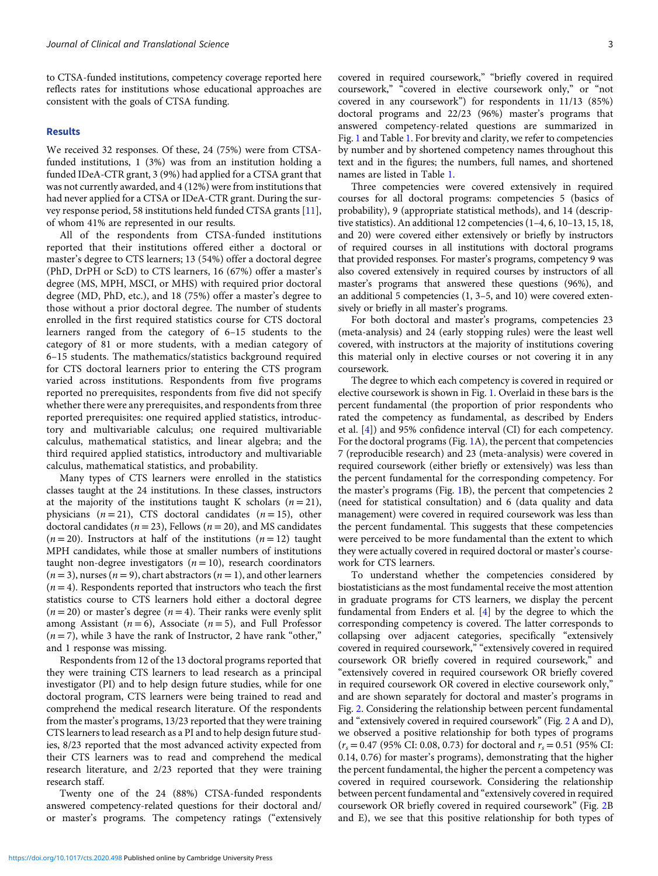to CTSA-funded institutions, competency coverage reported here reflects rates for institutions whose educational approaches are consistent with the goals of CTSA funding.

#### Results

We received 32 responses. Of these, 24 (75%) were from CTSAfunded institutions, 1 (3%) was from an institution holding a funded IDeA-CTR grant, 3 (9%) had applied for a CTSA grant that was not currently awarded, and 4 (12%) were from institutions that had never applied for a CTSA or IDeA-CTR grant. During the survey response period, 58 institutions held funded CTSA grants [[11\]](#page-10-0), of whom 41% are represented in our results.

All of the respondents from CTSA-funded institutions reported that their institutions offered either a doctoral or master's degree to CTS learners; 13 (54%) offer a doctoral degree (PhD, DrPH or ScD) to CTS learners, 16 (67%) offer a master's degree (MS, MPH, MSCI, or MHS) with required prior doctoral degree (MD, PhD, etc.), and 18 (75%) offer a master's degree to those without a prior doctoral degree. The number of students enrolled in the first required statistics course for CTS doctoral learners ranged from the category of 6–15 students to the category of 81 or more students, with a median category of 6–15 students. The mathematics/statistics background required for CTS doctoral learners prior to entering the CTS program varied across institutions. Respondents from five programs reported no prerequisites, respondents from five did not specify whether there were any prerequisites, and respondents from three reported prerequisites: one required applied statistics, introductory and multivariable calculus; one required multivariable calculus, mathematical statistics, and linear algebra; and the third required applied statistics, introductory and multivariable calculus, mathematical statistics, and probability.

Many types of CTS learners were enrolled in the statistics classes taught at the 24 institutions. In these classes, instructors at the majority of the institutions taught K scholars  $(n = 21)$ , physicians  $(n = 21)$ , CTS doctoral candidates  $(n = 15)$ , other doctoral candidates ( $n = 23$ ), Fellows ( $n = 20$ ), and MS candidates  $(n = 20)$ . Instructors at half of the institutions  $(n = 12)$  taught MPH candidates, while those at smaller numbers of institutions taught non-degree investigators  $(n = 10)$ , research coordinators  $(n = 3)$ , nurses  $(n = 9)$ , chart abstractors  $(n = 1)$ , and other learners  $(n = 4)$ . Respondents reported that instructors who teach the first statistics course to CTS learners hold either a doctoral degree  $(n = 20)$  or master's degree  $(n = 4)$ . Their ranks were evenly split among Assistant ( $n = 6$ ), Associate ( $n = 5$ ), and Full Professor  $(n=7)$ , while 3 have the rank of Instructor, 2 have rank "other," and 1 response was missing.

Respondents from 12 of the 13 doctoral programs reported that they were training CTS learners to lead research as a principal investigator (PI) and to help design future studies, while for one doctoral program, CTS learners were being trained to read and comprehend the medical research literature. Of the respondents from the master's programs, 13/23 reported that they were training CTS learners to lead research as a PI and to help design future studies, 8/23 reported that the most advanced activity expected from their CTS learners was to read and comprehend the medical research literature, and 2/23 reported that they were training research staff.

Twenty one of the 24 (88%) CTSA-funded respondents answered competency-related questions for their doctoral and/ or master's programs. The competency ratings ("extensively covered in required coursework," "briefly covered in required coursework," "covered in elective coursework only," or "not covered in any coursework") for respondents in 11/13 (85%) doctoral programs and 22/23 (96%) master's programs that answered competency-related questions are summarized in Fig. [1](#page-3-0) and Table [1.](#page-4-0) For brevity and clarity, we refer to competencies by number and by shortened competency names throughout this text and in the figures; the numbers, full names, and shortened names are listed in Table [1.](#page-4-0)

Three competencies were covered extensively in required courses for all doctoral programs: competencies 5 (basics of probability), 9 (appropriate statistical methods), and 14 (descriptive statistics). An additional 12 competencies (1–4, 6, 10–13, 15, 18, and 20) were covered either extensively or briefly by instructors of required courses in all institutions with doctoral programs that provided responses. For master's programs, competency 9 was also covered extensively in required courses by instructors of all master's programs that answered these questions (96%), and an additional 5 competencies (1, 3–5, and 10) were covered extensively or briefly in all master's programs.

For both doctoral and master's programs, competencies 23 (meta-analysis) and 24 (early stopping rules) were the least well covered, with instructors at the majority of institutions covering this material only in elective courses or not covering it in any coursework.

The degree to which each competency is covered in required or elective coursework is shown in Fig. [1](#page-3-0). Overlaid in these bars is the percent fundamental (the proportion of prior respondents who rated the competency as fundamental, as described by Enders et al. [\[4\]](#page-9-0)) and 95% confidence interval (CI) for each competency. For the doctoral programs (Fig. [1](#page-3-0)A), the percent that competencies 7 (reproducible research) and 23 (meta-analysis) were covered in required coursework (either briefly or extensively) was less than the percent fundamental for the corresponding competency. For the master's programs (Fig. [1B](#page-3-0)), the percent that competencies 2 (need for statistical consultation) and 6 (data quality and data management) were covered in required coursework was less than the percent fundamental. This suggests that these competencies were perceived to be more fundamental than the extent to which they were actually covered in required doctoral or master's coursework for CTS learners.

To understand whether the competencies considered by biostatisticians as the most fundamental receive the most attention in graduate programs for CTS learners, we display the percent fundamental from Enders et al. [[4](#page-9-0)] by the degree to which the corresponding competency is covered. The latter corresponds to collapsing over adjacent categories, specifically "extensively covered in required coursework," "extensively covered in required coursework OR briefly covered in required coursework," and "extensively covered in required coursework OR briefly covered in required coursework OR covered in elective coursework only," and are shown separately for doctoral and master's programs in Fig. [2.](#page-8-0) Considering the relationship between percent fundamental and "extensively covered in required coursework" (Fig. [2](#page-8-0) A and D), we observed a positive relationship for both types of programs  $(r<sub>s</sub> = 0.47 (95\% \text{ CI: } 0.08, 0.73) \text{ for doctoral and } r<sub>s</sub> = 0.51 (95\% \text{ CI: } 0.08, 0.73)$ 0.14, 0.76) for master's programs), demonstrating that the higher the percent fundamental, the higher the percent a competency was covered in required coursework. Considering the relationship between percent fundamental and "extensively covered in required coursework OR briefly covered in required coursework" (Fig. [2](#page-8-0)B and E), we see that this positive relationship for both types of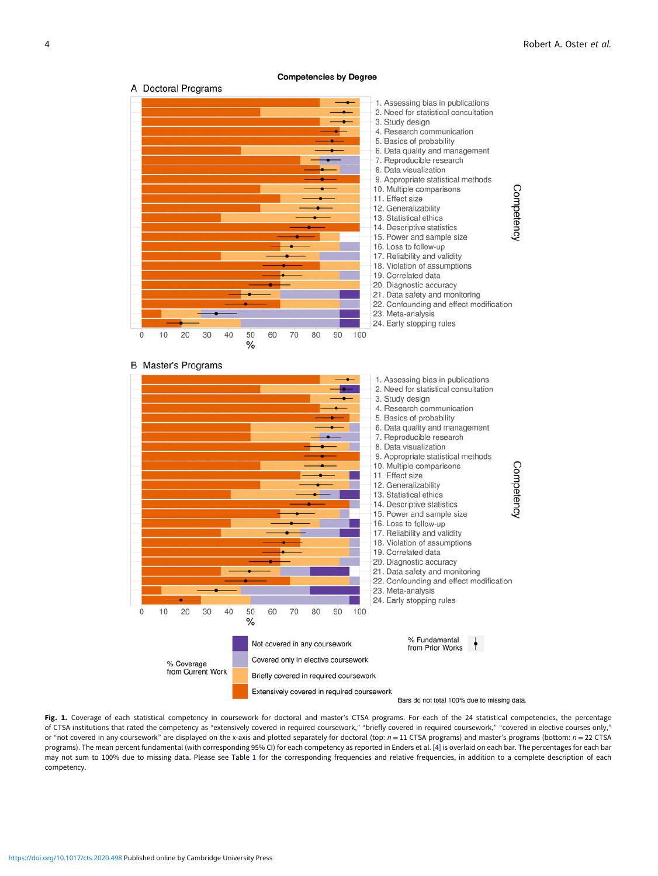<span id="page-3-0"></span>

Fig. 1. Coverage of each statistical competency in coursework for doctoral and master's CTSA programs. For each of the 24 statistical competencies, the percentage of CTSA institutions that rated the competency as "extensively covered in required coursework," "briefly covered in required coursework," "covered in elective courses only," or "not covered in any coursework" are displayed on the x-axis and plotted separately for doctoral (top:  $n = 11$  CTSA programs) and master's programs (bottom:  $n = 22$  CTSA programs). The mean percent fundamental (with corresponding 95% CI) for each competency as reported in Enders et al. [[4](#page-9-0)] is overlaid on each bar. The percentages for each bar may not sum to 100% due to missing data. Please see Table [1](#page-4-0) for the corresponding frequencies and relative frequencies, in addition to a complete description of each competency.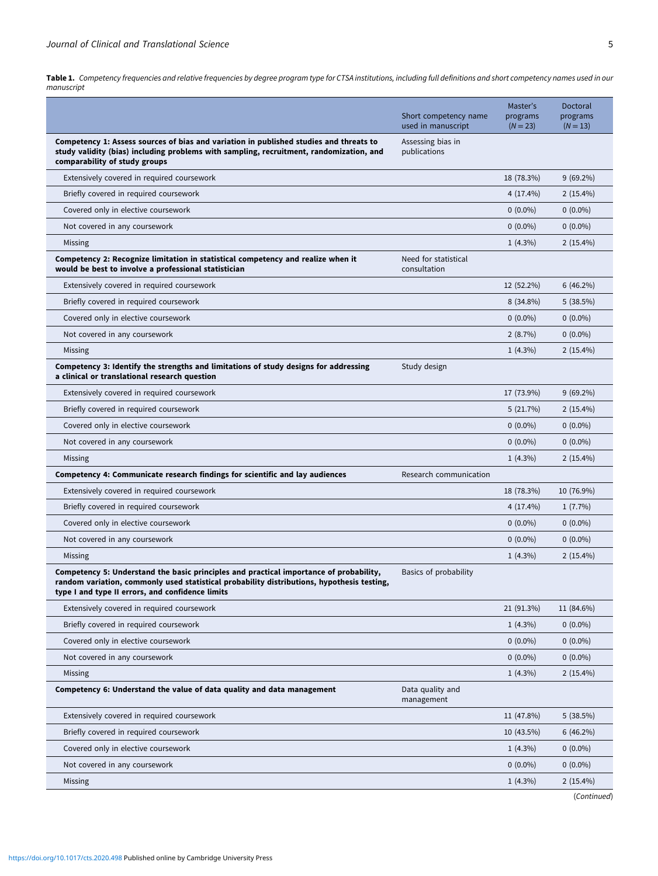<span id="page-4-0"></span>Table 1. Competency frequencies and relative frequencies by degree program type for CTSA institutions, including full definitions and short competency names used in our manuscript

|                                                                                                                                                                                                                                          | Short competency name<br>used in manuscript | Master's<br>programs<br>$(N = 23)$ | Doctoral<br>programs<br>$(N = 13)$ |
|------------------------------------------------------------------------------------------------------------------------------------------------------------------------------------------------------------------------------------------|---------------------------------------------|------------------------------------|------------------------------------|
| Competency 1: Assess sources of bias and variation in published studies and threats to<br>study validity (bias) including problems with sampling, recruitment, randomization, and<br>comparability of study groups                       | Assessing bias in<br>publications           |                                    |                                    |
| Extensively covered in required coursework                                                                                                                                                                                               |                                             | 18 (78.3%)                         | $9(69.2\%)$                        |
| Briefly covered in required coursework                                                                                                                                                                                                   |                                             | $4(17.4\%)$                        | $2(15.4\%)$                        |
| Covered only in elective coursework                                                                                                                                                                                                      |                                             | $0(0.0\%)$                         | $0(0.0\%)$                         |
| Not covered in any coursework                                                                                                                                                                                                            |                                             | $0(0.0\%)$                         | $0(0.0\%)$                         |
| Missing                                                                                                                                                                                                                                  |                                             | $1(4.3\%)$                         | $2(15.4\%)$                        |
| Competency 2: Recognize limitation in statistical competency and realize when it<br>would be best to involve a professional statistician                                                                                                 | Need for statistical<br>consultation        |                                    |                                    |
| Extensively covered in required coursework                                                                                                                                                                                               |                                             | 12 (52.2%)                         | $6(46.2\%)$                        |
| Briefly covered in required coursework                                                                                                                                                                                                   |                                             | $8(34.8\%)$                        | 5(38.5%)                           |
| Covered only in elective coursework                                                                                                                                                                                                      |                                             | $0(0.0\%)$                         | $0(0.0\%)$                         |
| Not covered in any coursework                                                                                                                                                                                                            |                                             | 2(8.7%)                            | $0(0.0\%)$                         |
| Missing                                                                                                                                                                                                                                  |                                             | $1(4.3\%)$                         | $2(15.4\%)$                        |
| Competency 3: Identify the strengths and limitations of study designs for addressing<br>a clinical or translational research question                                                                                                    | Study design                                |                                    |                                    |
| Extensively covered in required coursework                                                                                                                                                                                               |                                             | 17 (73.9%)                         | $9(69.2\%)$                        |
| Briefly covered in required coursework                                                                                                                                                                                                   |                                             | 5(21.7%)                           | $2(15.4\%)$                        |
| Covered only in elective coursework                                                                                                                                                                                                      |                                             | $0(0.0\%)$                         | $0(0.0\%)$                         |
| Not covered in any coursework                                                                                                                                                                                                            |                                             | $0(0.0\%)$                         | $0(0.0\%)$                         |
| Missing                                                                                                                                                                                                                                  |                                             | $1(4.3\%)$                         | $2(15.4\%)$                        |
| Competency 4: Communicate research findings for scientific and lay audiences                                                                                                                                                             | Research communication                      |                                    |                                    |
| Extensively covered in required coursework                                                                                                                                                                                               |                                             | 18 (78.3%)                         | 10 (76.9%)                         |
| Briefly covered in required coursework                                                                                                                                                                                                   |                                             | $4(17.4\%)$                        | $1(7.7\%)$                         |
| Covered only in elective coursework                                                                                                                                                                                                      |                                             | $0(0.0\%)$                         | $0(0.0\%)$                         |
| Not covered in any coursework                                                                                                                                                                                                            |                                             | $0(0.0\%)$                         | $0(0.0\%)$                         |
| Missing                                                                                                                                                                                                                                  |                                             | $1(4.3\%)$                         | $2(15.4\%)$                        |
| Competency 5: Understand the basic principles and practical importance of probability,<br>random variation, commonly used statistical probability distributions, hypothesis testing,<br>type I and type II errors, and confidence limits | Basics of probability                       |                                    |                                    |
| Extensively covered in required coursework                                                                                                                                                                                               |                                             | 21 (91.3%)                         | 11 (84.6%)                         |
| Briefly covered in required coursework                                                                                                                                                                                                   |                                             | $1(4.3\%)$                         | $0(0.0\%)$                         |
| Covered only in elective coursework                                                                                                                                                                                                      |                                             | $0(0.0\%)$                         | $0(0.0\%)$                         |
| Not covered in any coursework                                                                                                                                                                                                            |                                             | $0(0.0\%)$                         | $0(0.0\%)$                         |
| Missing                                                                                                                                                                                                                                  |                                             | $1(4.3\%)$                         | $2(15.4\%)$                        |
| Competency 6: Understand the value of data quality and data management                                                                                                                                                                   | Data quality and<br>management              |                                    |                                    |
| Extensively covered in required coursework                                                                                                                                                                                               |                                             | 11 (47.8%)                         | 5(38.5%)                           |
| Briefly covered in required coursework                                                                                                                                                                                                   |                                             | 10 (43.5%)                         | 6(46.2%)                           |
| Covered only in elective coursework                                                                                                                                                                                                      |                                             | $1(4.3\%)$                         | $0(0.0\%)$                         |
| Not covered in any coursework                                                                                                                                                                                                            |                                             | $0(0.0\%)$                         | $0(0.0\%)$                         |
| Missing                                                                                                                                                                                                                                  |                                             | $1(4.3\%)$                         | $2(15.4\%)$                        |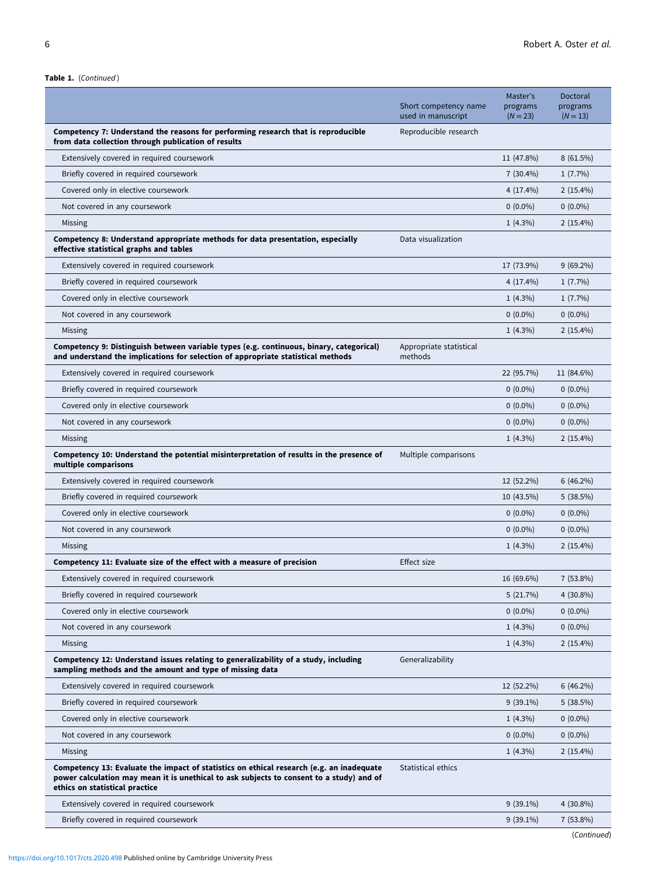Table 1. (Continued)

|                                                                                                                                                                                                                        | Short competency name<br>used in manuscript | Master's<br>programs<br>$(N = 23)$ | Doctoral<br>programs<br>$(N = 13)$ |
|------------------------------------------------------------------------------------------------------------------------------------------------------------------------------------------------------------------------|---------------------------------------------|------------------------------------|------------------------------------|
| Competency 7: Understand the reasons for performing research that is reproducible<br>from data collection through publication of results                                                                               | Reproducible research                       |                                    |                                    |
| Extensively covered in required coursework                                                                                                                                                                             |                                             | 11 (47.8%)                         | 8(61.5%)                           |
| Briefly covered in required coursework                                                                                                                                                                                 |                                             | $7(30.4\%)$                        | $1(7.7\%)$                         |
| Covered only in elective coursework                                                                                                                                                                                    |                                             | $4(17.4\%)$                        | $2(15.4\%)$                        |
| Not covered in any coursework                                                                                                                                                                                          |                                             | $0(0.0\%)$                         | $0(0.0\%)$                         |
| Missing                                                                                                                                                                                                                |                                             | $1(4.3\%)$                         | $2(15.4\%)$                        |
| Competency 8: Understand appropriate methods for data presentation, especially<br>effective statistical graphs and tables                                                                                              | Data visualization                          |                                    |                                    |
| Extensively covered in required coursework                                                                                                                                                                             |                                             | 17 (73.9%)                         | $9(69.2\%)$                        |
| Briefly covered in required coursework                                                                                                                                                                                 |                                             | $4(17.4\%)$                        | $1(7.7\%)$                         |
| Covered only in elective coursework                                                                                                                                                                                    |                                             | $1(4.3\%)$                         | $1(7.7\%)$                         |
| Not covered in any coursework                                                                                                                                                                                          |                                             | $0(0.0\%)$                         | $0(0.0\%)$                         |
| Missing                                                                                                                                                                                                                |                                             | $1(4.3\%)$                         | $2(15.4\%)$                        |
| Competency 9: Distinguish between variable types (e.g. continuous, binary, categorical)<br>and understand the implications for selection of appropriate statistical methods                                            | Appropriate statistical<br>methods          |                                    |                                    |
| Extensively covered in required coursework                                                                                                                                                                             |                                             | 22 (95.7%)                         | 11 (84.6%)                         |
| Briefly covered in required coursework                                                                                                                                                                                 |                                             | $0(0.0\%)$                         | $0(0.0\%)$                         |
| Covered only in elective coursework                                                                                                                                                                                    |                                             | $0(0.0\%)$                         | $0(0.0\%)$                         |
| Not covered in any coursework                                                                                                                                                                                          |                                             | $0(0.0\%)$                         | $0(0.0\%)$                         |
| Missing                                                                                                                                                                                                                |                                             | $1(4.3\%)$                         | $2(15.4\%)$                        |
| Competency 10: Understand the potential misinterpretation of results in the presence of<br>multiple comparisons                                                                                                        | Multiple comparisons                        |                                    |                                    |
| Extensively covered in required coursework                                                                                                                                                                             |                                             | 12 (52.2%)                         | $6(46.2\%)$                        |
| Briefly covered in required coursework                                                                                                                                                                                 |                                             | 10 (43.5%)                         | 5(38.5%)                           |
| Covered only in elective coursework                                                                                                                                                                                    |                                             | $0(0.0\%)$                         | $0(0.0\%)$                         |
| Not covered in any coursework                                                                                                                                                                                          |                                             | $0(0.0\%)$                         | $0(0.0\%)$                         |
| Missing                                                                                                                                                                                                                |                                             | $1(4.3\%)$                         | $2(15.4\%)$                        |
| Competency 11: Evaluate size of the effect with a measure of precision                                                                                                                                                 | Effect size                                 |                                    |                                    |
| Extensively covered in required coursework                                                                                                                                                                             |                                             | 16 (69.6%)                         | $7(53.8\%)$                        |
| Briefly covered in required coursework                                                                                                                                                                                 |                                             | 5(21.7%)                           | $4(30.8\%)$                        |
| Covered only in elective coursework                                                                                                                                                                                    |                                             | $0(0.0\%)$                         | $0(0.0\%)$                         |
| Not covered in any coursework                                                                                                                                                                                          |                                             | $1(4.3\%)$                         | $0(0.0\%)$                         |
| Missing                                                                                                                                                                                                                |                                             | $1(4.3\%)$                         | $2(15.4\%)$                        |
| Competency 12: Understand issues relating to generalizability of a study, including<br>sampling methods and the amount and type of missing data                                                                        | Generalizability                            |                                    |                                    |
| Extensively covered in required coursework                                                                                                                                                                             |                                             | 12 (52.2%)                         | $6(46.2\%)$                        |
| Briefly covered in required coursework                                                                                                                                                                                 |                                             | $9(39.1\%)$                        | 5(38.5%)                           |
| Covered only in elective coursework                                                                                                                                                                                    |                                             | $1(4.3\%)$                         | $0(0.0\%)$                         |
| Not covered in any coursework                                                                                                                                                                                          |                                             | $0(0.0\%)$                         | $0(0.0\%)$                         |
| Missing                                                                                                                                                                                                                |                                             | $1(4.3\%)$                         | $2(15.4\%)$                        |
| Competency 13: Evaluate the impact of statistics on ethical research (e.g. an inadequate<br>power calculation may mean it is unethical to ask subjects to consent to a study) and of<br>ethics on statistical practice | Statistical ethics                          |                                    |                                    |
| Extensively covered in required coursework                                                                                                                                                                             |                                             | $9(39.1\%)$                        | $4(30.8\%)$                        |
| Briefly covered in required coursework                                                                                                                                                                                 |                                             | $9(39.1\%)$                        | $7(53.8\%)$                        |
|                                                                                                                                                                                                                        |                                             |                                    | (Continued)                        |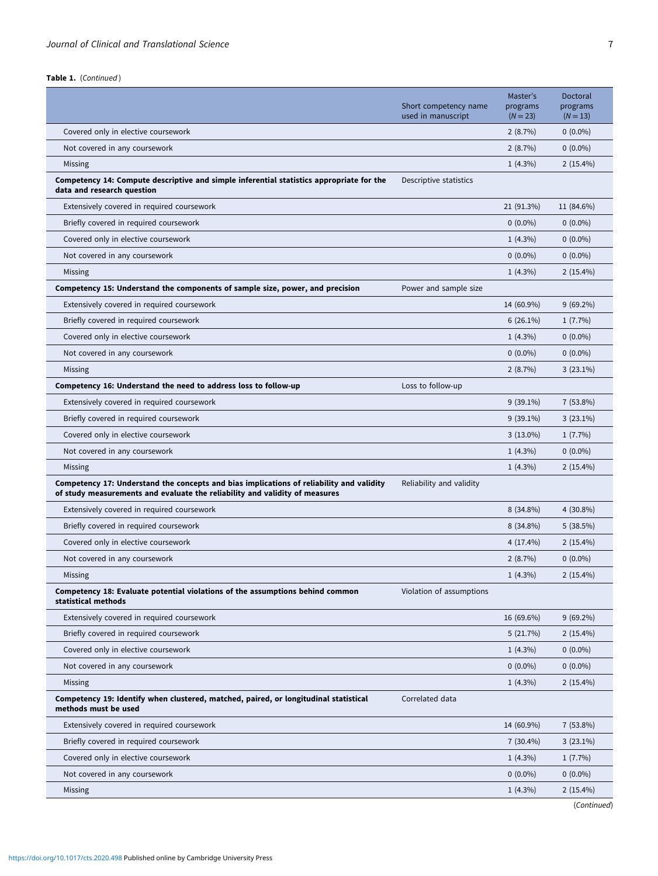Table 1. (Continued)

|                                                                                                                                                                         | Short competency name<br>used in manuscript | Master's<br>programs<br>$(N = 23)$ | Doctoral<br>programs<br>$(N = 13)$ |
|-------------------------------------------------------------------------------------------------------------------------------------------------------------------------|---------------------------------------------|------------------------------------|------------------------------------|
| Covered only in elective coursework                                                                                                                                     |                                             | 2(8.7%)                            | $0(0.0\%)$                         |
| Not covered in any coursework                                                                                                                                           |                                             | 2(8.7%)                            | $0(0.0\%)$                         |
| Missing                                                                                                                                                                 |                                             | $1(4.3\%)$                         | $2(15.4\%)$                        |
| Competency 14: Compute descriptive and simple inferential statistics appropriate for the<br>data and research question                                                  | Descriptive statistics                      |                                    |                                    |
| Extensively covered in required coursework                                                                                                                              |                                             | 21 (91.3%)                         | 11 (84.6%)                         |
| Briefly covered in required coursework                                                                                                                                  |                                             | $0(0.0\%)$                         | $0(0.0\%)$                         |
| Covered only in elective coursework                                                                                                                                     |                                             | $1(4.3\%)$                         | $0(0.0\%)$                         |
| Not covered in any coursework                                                                                                                                           |                                             | $0(0.0\%)$                         | $0(0.0\%)$                         |
| Missing                                                                                                                                                                 |                                             | $1(4.3\%)$                         | $2(15.4\%)$                        |
| Competency 15: Understand the components of sample size, power, and precision                                                                                           | Power and sample size                       |                                    |                                    |
| Extensively covered in required coursework                                                                                                                              |                                             | 14 (60.9%)                         | $9(69.2\%)$                        |
| Briefly covered in required coursework                                                                                                                                  |                                             | $6(26.1\%)$                        | $1(7.7\%)$                         |
| Covered only in elective coursework                                                                                                                                     |                                             | $1(4.3\%)$                         | $0(0.0\%)$                         |
| Not covered in any coursework                                                                                                                                           |                                             | $0(0.0\%)$                         | $0(0.0\%)$                         |
| Missing                                                                                                                                                                 |                                             | 2(8.7%)                            | $3(23.1\%)$                        |
| Competency 16: Understand the need to address loss to follow-up                                                                                                         | Loss to follow-up                           |                                    |                                    |
| Extensively covered in required coursework                                                                                                                              |                                             | $9(39.1\%)$                        | $7(53.8\%)$                        |
| Briefly covered in required coursework                                                                                                                                  |                                             | $9(39.1\%)$                        | $3(23.1\%)$                        |
| Covered only in elective coursework                                                                                                                                     |                                             | $3(13.0\%)$                        | $1(7.7\%)$                         |
| Not covered in any coursework                                                                                                                                           |                                             | $1(4.3\%)$                         | $0(0.0\%)$                         |
| Missing                                                                                                                                                                 |                                             | $1(4.3\%)$                         | $2(15.4\%)$                        |
| Competency 17: Understand the concepts and bias implications of reliability and validity<br>of study measurements and evaluate the reliability and validity of measures | Reliability and validity                    |                                    |                                    |
| Extensively covered in required coursework                                                                                                                              |                                             | $8(34.8\%)$                        | $4(30.8\%)$                        |
| Briefly covered in required coursework                                                                                                                                  |                                             | $8(34.8\%)$                        | 5(38.5%)                           |
| Covered only in elective coursework                                                                                                                                     |                                             | $4(17.4\%)$                        | $2(15.4\%)$                        |
| Not covered in any coursework                                                                                                                                           |                                             | 2(8.7%)                            | $0(0.0\%)$                         |
| Missing                                                                                                                                                                 |                                             | $1(4.3\%)$                         | $2(15.4\%)$                        |
| Competency 18: Evaluate potential violations of the assumptions behind common<br>statistical methods                                                                    | Violation of assumptions                    |                                    |                                    |
| Extensively covered in required coursework                                                                                                                              |                                             | 16 (69.6%)                         | $9(69.2\%)$                        |
| Briefly covered in required coursework                                                                                                                                  |                                             | 5(21.7%)                           | $2(15.4\%)$                        |
| Covered only in elective coursework                                                                                                                                     |                                             | $1(4.3\%)$                         | $0(0.0\%)$                         |
| Not covered in any coursework                                                                                                                                           |                                             | $0(0.0\%)$                         | $0(0.0\%)$                         |
| Missing                                                                                                                                                                 |                                             | $1(4.3\%)$                         | $2(15.4\%)$                        |
| Competency 19: Identify when clustered, matched, paired, or longitudinal statistical<br>methods must be used                                                            | Correlated data                             |                                    |                                    |
| Extensively covered in required coursework                                                                                                                              |                                             | 14 (60.9%)                         | $7(53.8\%)$                        |
| Briefly covered in required coursework                                                                                                                                  |                                             | $7(30.4\%)$                        | $3(23.1\%)$                        |
| Covered only in elective coursework                                                                                                                                     |                                             | $1(4.3\%)$                         | $1(7.7\%)$                         |
| Not covered in any coursework                                                                                                                                           |                                             | $0(0.0\%)$                         | $0(0.0\%)$                         |
| Missing                                                                                                                                                                 |                                             | $1(4.3\%)$                         | $2(15.4\%)$                        |
|                                                                                                                                                                         |                                             |                                    | (Continued)                        |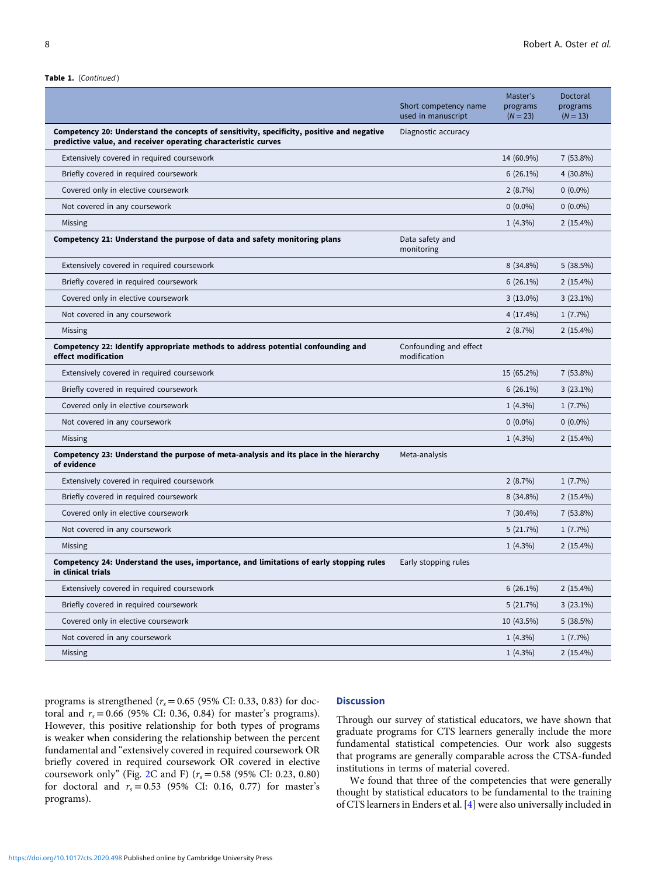|                                                                                                                                                             | Short competency name<br>used in manuscript | Master's<br>programs<br>$(N = 23)$ | Doctoral<br>programs<br>$(N = 13)$ |
|-------------------------------------------------------------------------------------------------------------------------------------------------------------|---------------------------------------------|------------------------------------|------------------------------------|
| Competency 20: Understand the concepts of sensitivity, specificity, positive and negative<br>predictive value, and receiver operating characteristic curves | Diagnostic accuracy                         |                                    |                                    |
| Extensively covered in required coursework                                                                                                                  |                                             | 14 (60.9%)                         | $7(53.8\%)$                        |
| Briefly covered in required coursework                                                                                                                      |                                             | $6(26.1\%)$                        | $4(30.8\%)$                        |
| Covered only in elective coursework                                                                                                                         |                                             | 2(8.7%)                            | $0(0.0\%)$                         |
| Not covered in any coursework                                                                                                                               |                                             | $0(0.0\%)$                         | $0(0.0\%)$                         |
| Missing                                                                                                                                                     |                                             | $1(4.3\%)$                         | $2(15.4\%)$                        |
| Competency 21: Understand the purpose of data and safety monitoring plans                                                                                   | Data safety and<br>monitoring               |                                    |                                    |
| Extensively covered in required coursework                                                                                                                  |                                             | $8(34.8\%)$                        | 5(38.5%)                           |
| Briefly covered in required coursework                                                                                                                      |                                             | $6(26.1\%)$                        | $2(15.4\%)$                        |
| Covered only in elective coursework                                                                                                                         |                                             | $3(13.0\%)$                        | $3(23.1\%)$                        |
| Not covered in any coursework                                                                                                                               |                                             | $4(17.4\%)$                        | $1(7.7\%)$                         |
| Missing                                                                                                                                                     |                                             | 2(8.7%)                            | $2(15.4\%)$                        |
| Competency 22: Identify appropriate methods to address potential confounding and<br>effect modification                                                     | Confounding and effect<br>modification      |                                    |                                    |
| Extensively covered in required coursework                                                                                                                  |                                             | 15 (65.2%)                         | $7(53.8\%)$                        |
| Briefly covered in required coursework                                                                                                                      |                                             | $6(26.1\%)$                        | $3(23.1\%)$                        |
| Covered only in elective coursework                                                                                                                         |                                             | $1(4.3\%)$                         | $1(7.7\%)$                         |
| Not covered in any coursework                                                                                                                               |                                             | $0(0.0\%)$                         | $0(0.0\%)$                         |
| Missing                                                                                                                                                     |                                             | $1(4.3\%)$                         | $2(15.4\%)$                        |
| Competency 23: Understand the purpose of meta-analysis and its place in the hierarchy<br>of evidence                                                        | Meta-analysis                               |                                    |                                    |
| Extensively covered in required coursework                                                                                                                  |                                             | 2(8.7%)                            | $1(7.7\%)$                         |
| Briefly covered in required coursework                                                                                                                      |                                             | $8(34.8\%)$                        | $2(15.4\%)$                        |
| Covered only in elective coursework                                                                                                                         |                                             | $7(30.4\%)$                        | $7(53.8\%)$                        |
| Not covered in any coursework                                                                                                                               |                                             | 5(21.7%)                           | $1(7.7\%)$                         |
| Missing                                                                                                                                                     |                                             | $1(4.3\%)$                         | $2(15.4\%)$                        |
| Competency 24: Understand the uses, importance, and limitations of early stopping rules<br>in clinical trials                                               | Early stopping rules                        |                                    |                                    |
| Extensively covered in required coursework                                                                                                                  |                                             | $6(26.1\%)$                        | $2(15.4\%)$                        |
| Briefly covered in required coursework                                                                                                                      |                                             | 5(21.7%)                           | $3(23.1\%)$                        |
| Covered only in elective coursework                                                                                                                         |                                             | 10 (43.5%)                         | 5(38.5%)                           |
| Not covered in any coursework                                                                                                                               |                                             | $1(4.3\%)$                         | 1(7.7%)                            |
| Missing                                                                                                                                                     |                                             | $1(4.3\%)$                         | $2(15.4\%)$                        |

programs is strengthened ( $r_s$  = 0.65 (95% CI: 0.33, 0.83) for doctoral and  $r_s = 0.66$  (95% CI: 0.36, 0.84) for master's programs). However, this positive relationship for both types of programs is weaker when considering the relationship between the percent fundamental and "extensively covered in required coursework OR briefly covered in required coursework OR covered in elective coursework only" (Fig. [2](#page-8-0)C and F) ( $r_s = 0.58$  (95% CI: 0.23, 0.80) for doctoral and  $r_s = 0.53$  (95% CI: 0.16, 0.77) for master's programs).

# **Discussion**

Through our survey of statistical educators, we have shown that graduate programs for CTS learners generally include the more fundamental statistical competencies. Our work also suggests that programs are generally comparable across the CTSA-funded institutions in terms of material covered.

We found that three of the competencies that were generally thought by statistical educators to be fundamental to the training of CTS learners in Enders et al. [\[4\]](#page-9-0) were also universally included in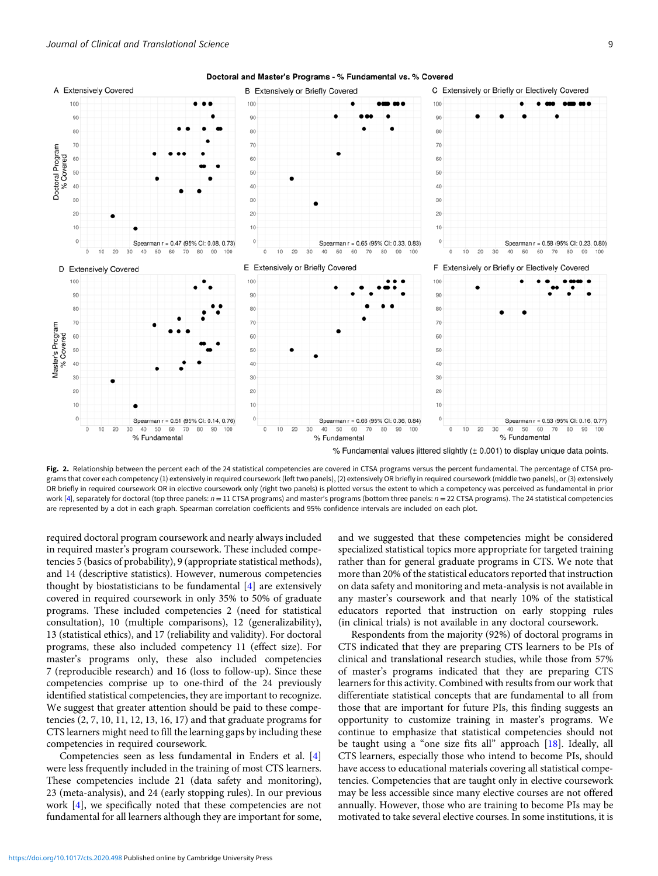<span id="page-8-0"></span>

Doctoral and Master's Programs - % Fundamental vs. % Covered

Fig. 2. Relationship between the percent each of the 24 statistical competencies are covered in CTSA programs versus the percent fundamental. The percentage of CTSA programs that cover each competency (1) extensively in required coursework (left two panels), (2) extensively OR briefly in required coursework (middle two panels), or (3) extensively OR briefly in required coursework OR in elective coursework only (right two panels) is plotted versus the extent to which a competency was perceived as fundamental in prior work [\[4\]](#page-9-0), separately for doctoral (top three panels:  $n = 11$  CTSA programs) and master's programs (bottom three panels:  $n = 22$  CTSA programs). The 24 statistical competencies are represented by a dot in each graph. Spearman correlation coefficients and 95% confidence intervals are included on each plot.

required doctoral program coursework and nearly always included in required master's program coursework. These included competencies 5 (basics of probability), 9 (appropriate statistical methods), and 14 (descriptive statistics). However, numerous competencies thought by biostatisticians to be fundamental [[4](#page-9-0)] are extensively covered in required coursework in only 35% to 50% of graduate programs. These included competencies 2 (need for statistical consultation), 10 (multiple comparisons), 12 (generalizability), 13 (statistical ethics), and 17 (reliability and validity). For doctoral programs, these also included competency 11 (effect size). For master's programs only, these also included competencies 7 (reproducible research) and 16 (loss to follow-up). Since these competencies comprise up to one-third of the 24 previously identified statistical competencies, they are important to recognize. We suggest that greater attention should be paid to these competencies  $(2, 7, 10, 11, 12, 13, 16, 17)$  and that graduate programs for CTS learners might need to fill the learning gaps by including these competencies in required coursework.

Competencies seen as less fundamental in Enders et al. [\[4\]](#page-9-0) were less frequently included in the training of most CTS learners. These competencies include 21 (data safety and monitoring), 23 (meta-analysis), and 24 (early stopping rules). In our previous work [\[4\]](#page-9-0), we specifically noted that these competencies are not fundamental for all learners although they are important for some, and we suggested that these competencies might be considered specialized statistical topics more appropriate for targeted training rather than for general graduate programs in CTS. We note that more than 20% of the statistical educators reported that instruction on data safety and monitoring and meta-analysis is not available in any master's coursework and that nearly 10% of the statistical educators reported that instruction on early stopping rules (in clinical trials) is not available in any doctoral coursework.

% Fundamental values iittered slightly (± 0.001) to display unique data points.

Respondents from the majority (92%) of doctoral programs in CTS indicated that they are preparing CTS learners to be PIs of clinical and translational research studies, while those from 57% of master's programs indicated that they are preparing CTS learners for this activity. Combined with results from our work that differentiate statistical concepts that are fundamental to all from those that are important for future PIs, this finding suggests an opportunity to customize training in master's programs. We continue to emphasize that statistical competencies should not be taught using a "one size fits all" approach [[18\]](#page-10-0). Ideally, all CTS learners, especially those who intend to become PIs, should have access to educational materials covering all statistical competencies. Competencies that are taught only in elective coursework may be less accessible since many elective courses are not offered annually. However, those who are training to become PIs may be motivated to take several elective courses. In some institutions, it is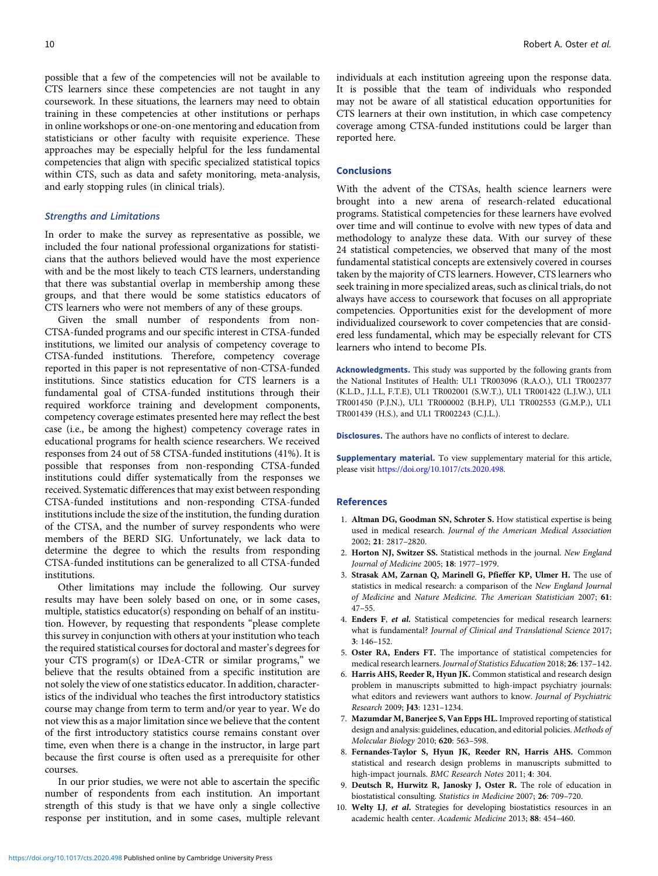<span id="page-9-0"></span>possible that a few of the competencies will not be available to CTS learners since these competencies are not taught in any coursework. In these situations, the learners may need to obtain training in these competencies at other institutions or perhaps in online workshops or one-on-one mentoring and education from statisticians or other faculty with requisite experience. These approaches may be especially helpful for the less fundamental competencies that align with specific specialized statistical topics within CTS, such as data and safety monitoring, meta-analysis, and early stopping rules (in clinical trials).

#### Strengths and Limitations

In order to make the survey as representative as possible, we included the four national professional organizations for statisticians that the authors believed would have the most experience with and be the most likely to teach CTS learners, understanding that there was substantial overlap in membership among these groups, and that there would be some statistics educators of CTS learners who were not members of any of these groups.

Given the small number of respondents from non-CTSA-funded programs and our specific interest in CTSA-funded institutions, we limited our analysis of competency coverage to CTSA-funded institutions. Therefore, competency coverage reported in this paper is not representative of non-CTSA-funded institutions. Since statistics education for CTS learners is a fundamental goal of CTSA-funded institutions through their required workforce training and development components, competency coverage estimates presented here may reflect the best case (i.e., be among the highest) competency coverage rates in educational programs for health science researchers. We received responses from 24 out of 58 CTSA-funded institutions (41%). It is possible that responses from non-responding CTSA-funded institutions could differ systematically from the responses we received. Systematic differences that may exist between responding CTSA-funded institutions and non-responding CTSA-funded institutions include the size of the institution, the funding duration of the CTSA, and the number of survey respondents who were members of the BERD SIG. Unfortunately, we lack data to determine the degree to which the results from responding CTSA-funded institutions can be generalized to all CTSA-funded institutions.

Other limitations may include the following. Our survey results may have been solely based on one, or in some cases, multiple, statistics educator(s) responding on behalf of an institution. However, by requesting that respondents "please complete this survey in conjunction with others at your institution who teach the required statistical courses for doctoral and master's degrees for your CTS program(s) or IDeA-CTR or similar programs," we believe that the results obtained from a specific institution are not solely the view of one statistics educator. In addition, characteristics of the individual who teaches the first introductory statistics course may change from term to term and/or year to year. We do not view this as a major limitation since we believe that the content of the first introductory statistics course remains constant over time, even when there is a change in the instructor, in large part because the first course is often used as a prerequisite for other courses.

In our prior studies, we were not able to ascertain the specific number of respondents from each institution. An important strength of this study is that we have only a single collective response per institution, and in some cases, multiple relevant

individuals at each institution agreeing upon the response data. It is possible that the team of individuals who responded may not be aware of all statistical education opportunities for CTS learners at their own institution, in which case competency coverage among CTSA-funded institutions could be larger than reported here.

# Conclusions

With the advent of the CTSAs, health science learners were brought into a new arena of research-related educational programs. Statistical competencies for these learners have evolved over time and will continue to evolve with new types of data and methodology to analyze these data. With our survey of these 24 statistical competencies, we observed that many of the most fundamental statistical concepts are extensively covered in courses taken by the majority of CTS learners. However, CTS learners who seek training in more specialized areas, such as clinical trials, do not always have access to coursework that focuses on all appropriate competencies. Opportunities exist for the development of more individualized coursework to cover competencies that are considered less fundamental, which may be especially relevant for CTS learners who intend to become PIs.

Acknowledgments. This study was supported by the following grants from the National Institutes of Health: UL1 TR003096 (R.A.O.), UL1 TR002377 (K.L.D., J.L.L, F.T.E), UL1 TR002001 (S.W.T.), UL1 TR001422 (L.J.W.), UL1 TR001450 (P.J.N.), UL1 TR000002 (B.H.P), UL1 TR002553 (G.M.P.), UL1 TR001439 (H.S.), and UL1 TR002243 (C.J.L.).

Disclosures. The authors have no conflicts of interest to declare.

Supplementary material. To view supplementary material for this article, please visit [https://doi.org/10.1017/cts.2020.498.](https://doi.org/10.1017/cts.2020.498)

#### References

- 1. Altman DG, Goodman SN, Schroter S. How statistical expertise is being used in medical research. Journal of the American Medical Association 2002; 21: 2817–2820.
- 2. Horton NJ, Switzer SS. Statistical methods in the journal. New England Journal of Medicine 2005; 18: 1977–1979.
- 3. Strasak AM, Zarnan Q, Marinell G, Pfieffer KP, Ulmer H. The use of statistics in medical research: a comparison of the New England Journal of Medicine and Nature Medicine. The American Statistician 2007; 61: 47–55.
- 4. Enders F, et al. Statistical competencies for medical research learners: what is fundamental? Journal of Clinical and Translational Science 2017; 3: 146–152.
- 5. Oster RA, Enders FT. The importance of statistical competencies for medical research learners. Journal of Statistics Education 2018; 26: 137–142.
- 6. Harris AHS, Reeder R, Hyun JK. Common statistical and research design problem in manuscripts submitted to high-impact psychiatry journals: what editors and reviewers want authors to know. Journal of Psychiatric Research 2009; J43: 1231–1234.
- 7. Mazumdar M, Banerjee S, Van Epps HL. Improved reporting of statistical design and analysis: guidelines, education, and editorial policies. Methods of Molecular Biology 2010; 620: 563–598.
- 8. Fernandes-Taylor S, Hyun JK, Reeder RN, Harris AHS. Common statistical and research design problems in manuscripts submitted to high-impact journals. BMC Research Notes 2011; 4: 304.
- 9. Deutsch R, Hurwitz R, Janosky J, Oster R. The role of education in biostatistical consulting. Statistics in Medicine 2007; 26: 709–720.
- 10. Welty LJ, et al. Strategies for developing biostatistics resources in an academic health center. Academic Medicine 2013; 88: 454–460.